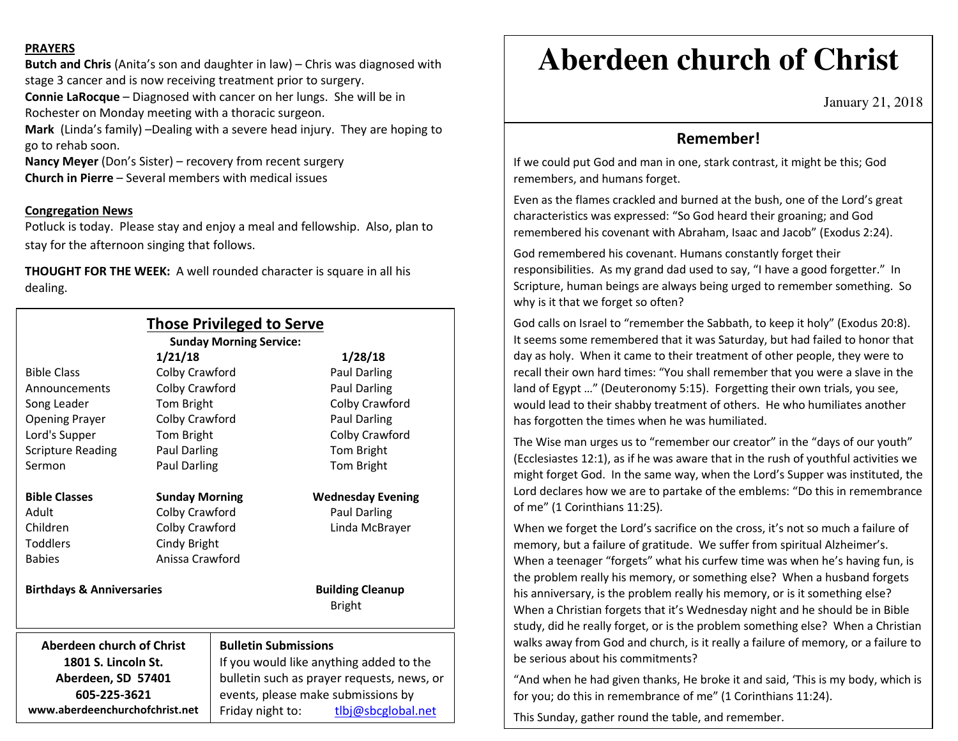### **PRAYERS**

**Butch and Chris** (Anita's son and daughter in law) – Chris was diagnosed with stage 3 cancer and is now receiving treatment prior to surgery. **Connie LaRocque** – Diagnosed with cancer on her lungs. She will be in Rochester on Monday meeting with a thoracic surgeon. **Mark** (Linda's family) –Dealing with a severe head injury. They are hoping to

go to rehab soon. **Nancy Meyer** (Don's Sister) – recovery from recent surgery **Church in Pierre** – Several members with medical issues

## **Congregation News**

 Potluck is today. Please stay and enjoy a meal and fellowship. Also, plan to stay for the afternoon singing that follows.

**THOUGHT FOR THE WEEK:** A well rounded character is square in all his dealing.

|                                                           |                                | <b>Those Privileged to Serve</b><br><b>Sunday Morning Service:</b>                                                          |                                          |                                |  |                  |                    |
|-----------------------------------------------------------|--------------------------------|-----------------------------------------------------------------------------------------------------------------------------|------------------------------------------|--------------------------------|--|------------------|--------------------|
|                                                           | 1/21/18                        |                                                                                                                             | 1/28/18                                  |                                |  |                  |                    |
| <b>Bible Class</b>                                        | Colby Crawford                 |                                                                                                                             | <b>Paul Darling</b>                      |                                |  |                  |                    |
| Announcements                                             | Colby Crawford                 |                                                                                                                             | Paul Darling                             |                                |  |                  |                    |
| Song Leader                                               | Tom Bright                     |                                                                                                                             | Colby Crawford                           |                                |  |                  |                    |
| <b>Opening Prayer</b>                                     | Colby Crawford                 |                                                                                                                             | Paul Darling                             |                                |  |                  |                    |
| Lord's Supper                                             | Tom Bright                     |                                                                                                                             | Colby Crawford                           |                                |  |                  |                    |
| <b>Scripture Reading</b>                                  | Paul Darling                   |                                                                                                                             | Tom Bright                               |                                |  |                  |                    |
| Sermon                                                    | <b>Paul Darling</b>            |                                                                                                                             | Tom Bright                               |                                |  |                  |                    |
| <b>Bible Classes</b>                                      | <b>Sunday Morning</b>          |                                                                                                                             | <b>Wednesday Evening</b>                 |                                |  |                  |                    |
| Adult                                                     | Colby Crawford                 |                                                                                                                             | Paul Darling                             |                                |  |                  |                    |
| Children                                                  | Colby Crawford<br>Cindy Bright |                                                                                                                             | Linda McBrayer                           |                                |  |                  |                    |
| <b>Toddlers</b>                                           |                                |                                                                                                                             |                                          |                                |  |                  |                    |
| <b>Babies</b>                                             | Anissa Crawford                |                                                                                                                             |                                          |                                |  |                  |                    |
| <b>Birthdays &amp; Anniversaries</b>                      |                                |                                                                                                                             | <b>Building Cleanup</b><br><b>Bright</b> |                                |  |                  |                    |
| Aberdeen church of Christ                                 |                                | <b>Bulletin Submissions</b>                                                                                                 |                                          |                                |  |                  |                    |
| 1801 S. Lincoln St.<br>Aberdeen, SD 57401<br>605-225-3621 |                                | If you would like anything added to the<br>bulletin such as prayer requests, news, or<br>events, please make submissions by |                                          |                                |  |                  |                    |
|                                                           |                                |                                                                                                                             |                                          | www.aberdeenchurchofchrist.net |  | Friday night to: | tlbj@sbcglobal.net |

# **Aberdeen church of Christ**

January 21, 2018

## **Remember!**

If we could put God and man in one, stark contrast, it might be this; God remembers, and humans forget.

Even as the flames crackled and burned at the bush, one of the Lord's great characteristics was expressed: "So God heard their groaning; and God remembered his covenant with Abraham, Isaac and Jacob" (Exodus 2:24).

God remembered his covenant. Humans constantly forget their responsibilities. As my grand dad used to say, "I have a good forgetter." In Scripture, human beings are always being urged to remember something. So why is it that we forget so often?

God calls on Israel to "remember the Sabbath, to keep it holy" (Exodus 20:8). It seems some remembered that it was Saturday, but had failed to honor that day as holy. When it came to their treatment of other people, they were to recall their own hard times: "You shall remember that you were a slave in the land of Egypt …" (Deuteronomy 5:15). Forgetting their own trials, you see, would lead to their shabby treatment of others. He who humiliates another has forgotten the times when he was humiliated.

The Wise man urges us to "remember our creator" in the "days of our youth" (Ecclesiastes 12:1), as if he was aware that in the rush of youthful activities we might forget God. In the same way, when the Lord's Supper was instituted, the Lord declares how we are to partake of the emblems: "Do this in remembrance of me" (1 Corinthians 11:25).

When we forget the Lord's sacrifice on the cross, it's not so much a failure of memory, but a failure of gratitude. We suffer from spiritual Alzheimer's. When a teenager "forgets" what his curfew time was when he's having fun, is the problem really his memory, or something else? When a husband forgets his anniversary, is the problem really his memory, or is it something else? When a Christian forgets that it's Wednesday night and he should be in Bible study, did he really forget, or is the problem something else? When a Christian walks away from God and church, is it really a failure of memory, or a failure to be serious about his commitments?

"And when he had given thanks, He broke it and said, 'This is my body, which is for you; do this in remembrance of me" (1 Corinthians 11:24).

This Sunday, gather round the table, and remember.